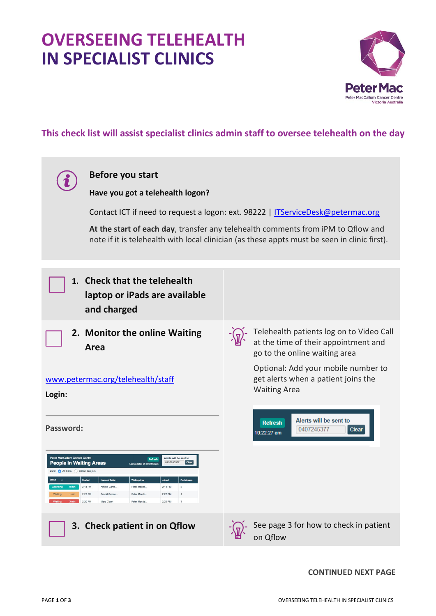## **OVERSEEING TELEHEALTH IN SPECIALIST CLINICS**



## **This check list will assist specialist clinics admin staff to oversee telehealth on the day**

|                                                                                                            | Before you start<br>Have you got a telehealth logon?<br>Contact ICT if need to request a logon: ext. 98222   ITServiceDesk@petermac.org<br>At the start of each day, transfer any telehealth comments from iPM to Qflow and                                                                     | note if it is telehealth with local clinician (as these appts must be seen in clinic first).                                                                                                                           |
|------------------------------------------------------------------------------------------------------------|-------------------------------------------------------------------------------------------------------------------------------------------------------------------------------------------------------------------------------------------------------------------------------------------------|------------------------------------------------------------------------------------------------------------------------------------------------------------------------------------------------------------------------|
|                                                                                                            | 1. Check that the telehealth<br>laptop or iPads are available<br>and charged                                                                                                                                                                                                                    |                                                                                                                                                                                                                        |
| Login:                                                                                                     | 2. Monitor the online Waiting<br>Area<br>www.petermac.org/telehealth/staff                                                                                                                                                                                                                      | Telehealth patients log on to Video Call<br>at the time of their appointment and<br>go to the online waiting area<br>Optional: Add your mobile number to<br>get alerts when a patient joins the<br><b>Waiting Area</b> |
| Password:<br>Peter MacCallum Cancer Centre<br><b>People in Waiting Areas</b><br>All Calls Calls I can join | Alerts will be sent to<br>0407245377<br>updated at: 02:23:50 pn<br>Name of Caller<br>Started<br>Waiting Area<br>2:14 PM<br>Amelia Came.<br>Peter Mac te.<br>2:14 PM<br>2:22 PM<br>Arnold Swaze.<br>2:22 PM<br>Peter Mac te.<br>2:20 PM<br>2:20 PM<br>Mary Clare<br>$\mathbf{1}$<br>Peter Mac te | Alerts will be sent to<br><b>Refresh</b><br>0407245377<br>Clear<br>10:22:27 am                                                                                                                                         |
|                                                                                                            | 3. Check patient in on Qflow                                                                                                                                                                                                                                                                    | See page 3 for how to check in patient<br>on Qflow                                                                                                                                                                     |

## **CONTINUED NEXT PAGE**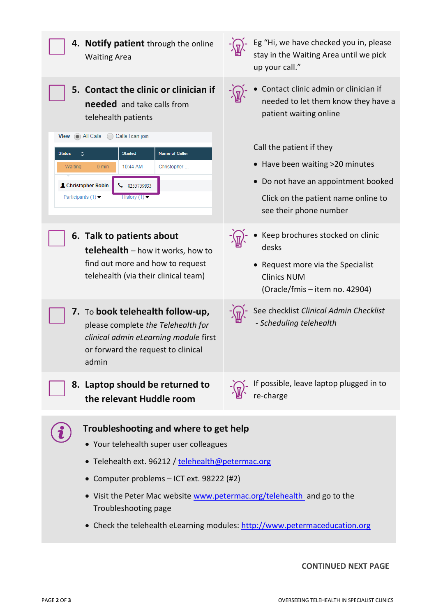

**CONTINUED NEXT PAGE**